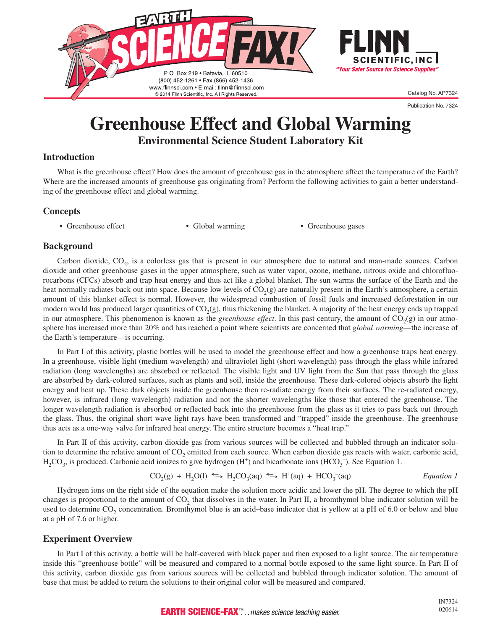

Publication No. 7324

# **Greenhouse Effect and Global Warming Environmental Science Student Laboratory Kit**

#### **Introduction**

What is the greenhouse effect? How does the amount of greenhouse gas in the atmosphere affect the temperature of the Earth? Where are the increased amounts of greenhouse gas originating from? Perform the following activities to gain a better understanding of the greenhouse effect and global warming.

#### **Concepts**

• Greenhouse effect • Global warming • Greenhouse gases

#### **Background**

Carbon dioxide, CO<sub>2</sub>, is a colorless gas that is present in our atmosphere due to natural and man-made sources. Carbon dioxide and other greenhouse gases in the upper atmosphere, such as water vapor, ozone, methane, nitrous oxide and chlorofluorocarbons (CFCs) absorb and trap heat energy and thus act like a global blanket. The sun warms the surface of the Earth and the heat normally radiates back out into space. Because low levels of  $CO<sub>2</sub>(g)$  are naturally present in the Earth's atmosphere, a certain amount of this blanket effect is normal. However, the widespread combustion of fossil fuels and increased deforestation in our modern world has produced larger quantities of  $CO<sub>2</sub>(g)$ , thus thickening the blanket. A majority of the heat energy ends up trapped in our atmosphere. This phenomenon is known as the *greenhouse effect*. In this past century, the amount of  $CO<sub>2</sub>(g)$  in our atmosphere has increased more than 20% and has reached a point where scientists are concerned that *global warming*—the increase of the Earth's temperature—is occurring.

In Part I of this activity, plastic bottles will be used to model the greenhouse effect and how a greenhouse traps heat energy. In a greenhouse, visible light (medium wavelength) and ultraviolet light (short wavelength) pass through the glass while infrared radiation (long wavelengths) are absorbed or reflected. The visible light and UV light from the Sun that pass through the glass are absorbed by dark-colored surfaces, such as plants and soil, inside the greenhouse. These dark-colored objects absorb the light energy and heat up. These dark objects inside the greenhouse then re-radiate energy from their surfaces. The re-radiated energy, however, is infrared (long wavelength) radiation and not the shorter wavelengths like those that entered the greenhouse. The longer wavelength radiation is absorbed or reflected back into the greenhouse from the glass as it tries to pass back out through the glass. Thus, the original short wave light rays have been transformed and "trapped" inside the greenhouse. The greenhouse thus acts as a one-way valve for infrared heat energy. The entire structure becomes a "heat trap."

In Part II of this activity, carbon dioxide gas from various sources will be collected and bubbled through an indicator solution to determine the relative amount of CO<sub>2</sub> emitted from each source. When carbon dioxide gas reacts with water, carbonic acid,  $H_2CO_3$ , is produced. Carbonic acid ionizes to give hydrogen (H<sup>+</sup>) and bicarbonate ions (HCO<sub>3</sub><sup>-</sup>). See Equation 1.

$$
CO_2(g) + H_2O(l) \iff H_2CO_3(aq) \iff H^+(aq) + HCO_3^-(aq)
$$
 *Equation 1*

Hydrogen ions on the right side of the equation make the solution more acidic and lower the pH. The degree to which the pH changes is proportional to the amount of  $CO<sub>2</sub>$  that dissolves in the water. In Part II, a bromthymol blue indicator solution will be used to determine  $CO_2$  concentration. Bromthymol blue is an acid–base indicator that is yellow at a pH of 6.0 or below and blue at a pH of 7.6 or higher.

#### **Experiment Overview**

In Part I of this activity, a bottle will be half-covered with black paper and then exposed to a light source. The air temperature inside this "greenhouse bottle" will be measured and compared to a normal bottle exposed to the same light source. In Part II of this activity, carbon dioxide gas from various sources will be collected and bubbled through indicator solution. The amount of base that must be added to return the solutions to their original color will be measured and compared.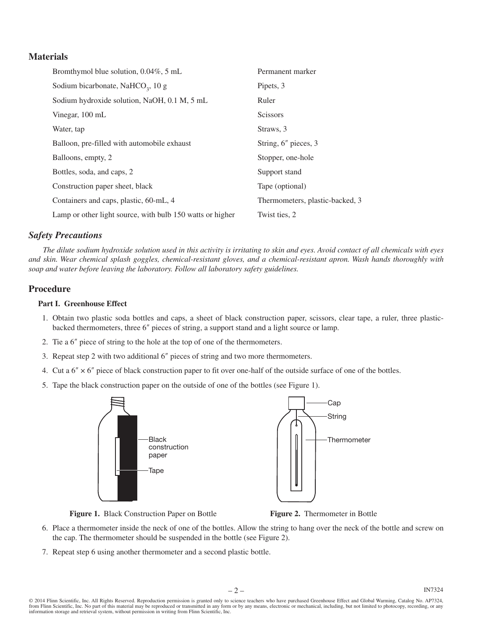#### **Materials**

| Bromthymol blue solution, 0.04%, 5 mL                     | Permanent marker                |
|-----------------------------------------------------------|---------------------------------|
| Sodium bicarbonate, NaHCO <sub>3</sub> , 10 g             | Pipets, 3                       |
| Sodium hydroxide solution, NaOH, 0.1 M, 5 mL              | Ruler                           |
| Vinegar, 100 mL                                           | <b>Scissors</b>                 |
| Water, tap                                                | Straws, 3                       |
| Balloon, pre-filled with automobile exhaust               | String, 6" pieces, 3            |
| Balloons, empty, 2                                        | Stopper, one-hole               |
| Bottles, soda, and caps, 2                                | Support stand                   |
| Construction paper sheet, black                           | Tape (optional)                 |
| Containers and caps, plastic, 60-mL, 4                    | Thermometers, plastic-backed, 3 |
| Lamp or other light source, with bulb 150 watts or higher | Twist ties, 2                   |

#### *Safety Precautions*

*The dilute sodium hydroxide solution used in this activity is irritating to skin and eyes. Avoid contact of all chemicals with eyes and skin. Wear chemical splash goggles, chemical-resistant gloves, and a chemical-resistant apron. Wash hands thoroughly with soap and water before leaving the laboratory. Follow all laboratory safety guidelines.*

#### **Procedure**

#### **Part I. Greenhouse Effect**

- 1. Obtain two plastic soda bottles and caps, a sheet of black construction paper, scissors, clear tape, a ruler, three plasticbacked thermometers, three 6″ pieces of string, a support stand and a light source or lamp.
- 2. Tie a 6″ piece of string to the hole at the top of one of the thermometers.
- 3. Repeat step 2 with two additional 6″ pieces of string and two more thermometers.
- 4. Cut a  $6'' \times 6''$  piece of black construction paper to fit over one-half of the outside surface of one of the bottles.
- 5. Tape the black construction paper on the outside of one of the bottles (see Figure 1).



**Figure 1.** Black Construction Paper on Bottle **Figure 2.** Thermometer in Bottle

- 6. Place a thermometer inside the neck of one of the bottles. Allow the string to hang over the neck of the bottle and screw on the cap. The thermometer should be suspended in the bottle (see Figure 2).
- 7. Repeat step 6 using another thermometer and a second plastic bottle.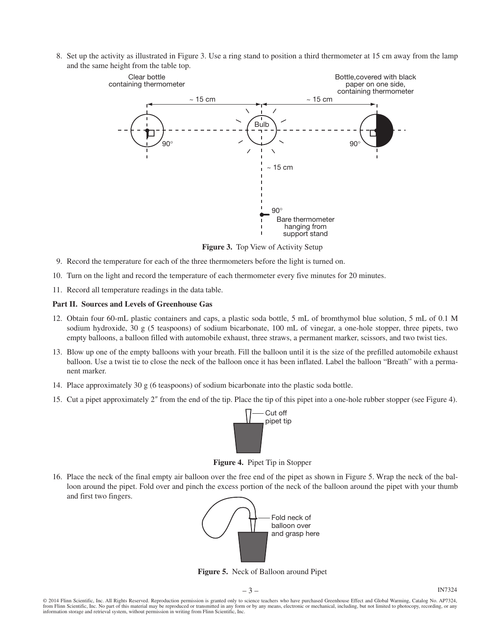8. Set up the activity as illustrated in Figure 3. Use a ring stand to position a third thermometer at 15 cm away from the lamp and the same height from the table top.



**Figure 3.** Top View of Activity Setup

- 9. Record the temperature for each of the three thermometers before the light is turned on.
- 10. Turn on the light and record the temperature of each thermometer every five minutes for 20 minutes.
- 11. Record all temperature readings in the data table.

#### **Part II. Sources and Levels of Greenhouse Gas**

- 12. Obtain four 60-mL plastic containers and caps, a plastic soda bottle, 5 mL of bromthymol blue solution, 5 mL of 0.1 M sodium hydroxide, 30 g (5 teaspoons) of sodium bicarbonate, 100 mL of vinegar, a one-hole stopper, three pipets, two empty balloons, a balloon filled with automobile exhaust, three straws, a permanent marker, scissors, and two twist ties.
- 13. Blow up one of the empty balloons with your breath. Fill the balloon until it is the size of the prefilled automobile exhaust balloon. Use a twist tie to close the neck of the balloon once it has been inflated. Label the balloon "Breath" with a permanent marker.
- 14. Place approximately 30 g (6 teaspoons) of sodium bicarbonate into the plastic soda bottle.
- 15. Cut a pipet approximately 2″ from the end of the tip. Place the tip of this pipet into a one-hole rubber stopper (see Figure 4).



**Figure 4.** Pipet Tip in Stopper

16. Place the neck of the final empty air balloon over the free end of the pipet as shown in Figure 5. Wrap the neck of the balloon around the pipet. Fold over and pinch the excess portion of the neck of the balloon around the pipet with your thumb and first two fingers.



**Figure 5.** Neck of Balloon around Pipet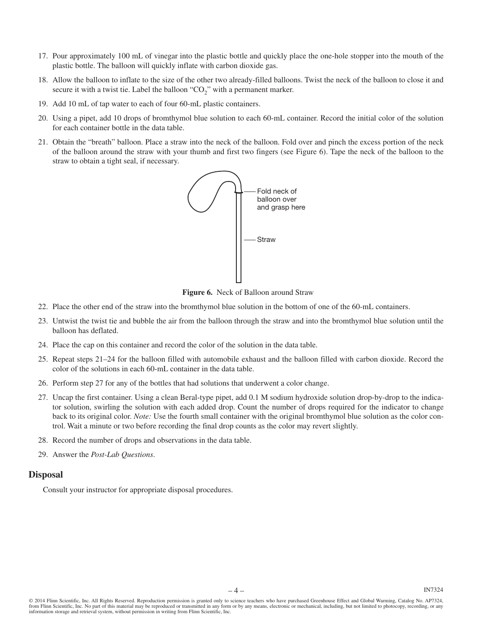- 17. Pour approximately 100 mL of vinegar into the plastic bottle and quickly place the one-hole stopper into the mouth of the plastic bottle. The balloon will quickly inflate with carbon dioxide gas.
- 18. Allow the balloon to inflate to the size of the other two already-filled balloons. Twist the neck of the balloon to close it and secure it with a twist tie. Label the balloon " $CO<sub>2</sub>$ " with a permanent marker.
- 19. Add 10 mL of tap water to each of four 60-mL plastic containers.
- 20. Using a pipet, add 10 drops of bromthymol blue solution to each 60-mL container. Record the initial color of the solution for each container bottle in the data table.
- 21. Obtain the "breath" balloon. Place a straw into the neck of the balloon. Fold over and pinch the excess portion of the neck of the balloon around the straw with your thumb and first two fingers (see Figure 6). Tape the neck of the balloon to the straw to obtain a tight seal, if necessary.



**Figure 6.** Neck of Balloon around Straw

- 22. Place the other end of the straw into the bromthymol blue solution in the bottom of one of the 60-mL containers.
- 23. Untwist the twist tie and bubble the air from the balloon through the straw and into the bromthymol blue solution until the balloon has deflated.
- 24. Place the cap on this container and record the color of the solution in the data table.
- 25. Repeat steps 21–24 for the balloon filled with automobile exhaust and the balloon filled with carbon dioxide. Record the color of the solutions in each 60-mL container in the data table.
- 26. Perform step 27 for any of the bottles that had solutions that underwent a color change.
- 27. Uncap the first container. Using a clean Beral-type pipet, add 0.1 M sodium hydroxide solution drop-by-drop to the indicator solution, swirling the solution with each added drop. Count the number of drops required for the indicator to change back to its original color. *Note:* Use the fourth small container with the original bromthymol blue solution as the color control. Wait a minute or two before recording the final drop counts as the color may revert slightly.
- 28. Record the number of drops and observations in the data table.
- 29. Answer the *Post-Lab Questions*.

#### **Disposal**

Consult your instructor for appropriate disposal procedures.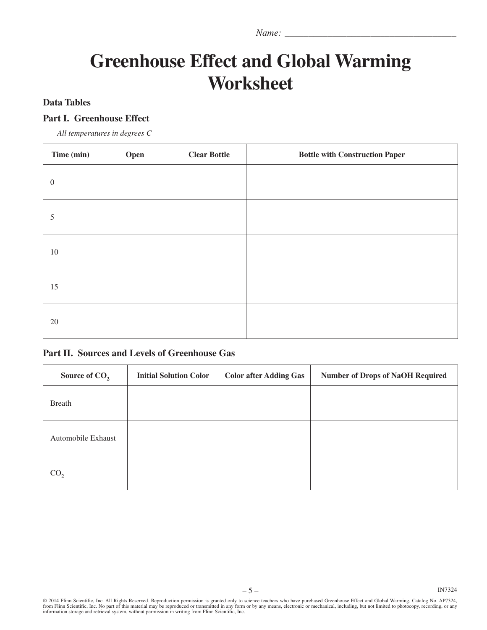*Name:* \_

# **Greenhouse Effect and Global Warming Worksheet**

### **Data Tables**

#### **Part I. Greenhouse Effect**

*All temperatures in degrees C*

| Time (min)     | Open | <b>Clear Bottle</b> | <b>Bottle with Construction Paper</b> |
|----------------|------|---------------------|---------------------------------------|
| $\overline{0}$ |      |                     |                                       |
| 5              |      |                     |                                       |
| $10\,$         |      |                     |                                       |
| 15             |      |                     |                                       |
| $20\,$         |      |                     |                                       |

#### **Part II. Sources and Levels of Greenhouse Gas**

| Source of $CO2$    | <b>Initial Solution Color</b> | <b>Color after Adding Gas</b> | <b>Number of Drops of NaOH Required</b> |
|--------------------|-------------------------------|-------------------------------|-----------------------------------------|
| <b>Breath</b>      |                               |                               |                                         |
| Automobile Exhaust |                               |                               |                                         |
| CO,                |                               |                               |                                         |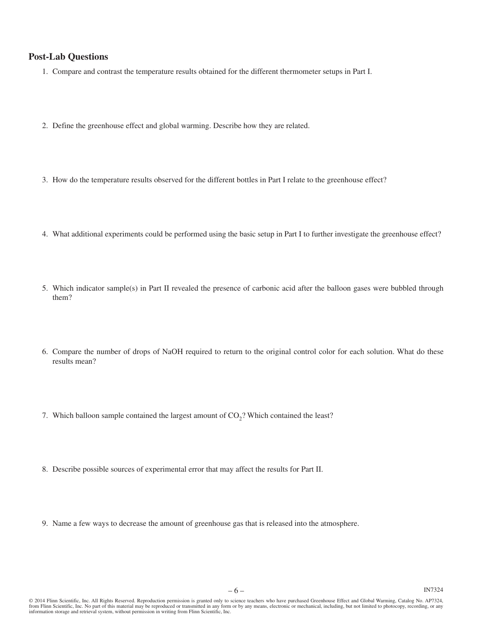#### **Post-Lab Questions**

- 1. Compare and contrast the temperature results obtained for the different thermometer setups in Part I.
- 2. Define the greenhouse effect and global warming. Describe how they are related.
- 3. How do the temperature results observed for the different bottles in Part I relate to the greenhouse effect?
- 4. What additional experiments could be performed using the basic setup in Part I to further investigate the greenhouse effect?
- 5. Which indicator sample(s) in Part II revealed the presence of carbonic acid after the balloon gases were bubbled through them?
- 6. Compare the number of drops of NaOH required to return to the original control color for each solution. What do these results mean?
- 7. Which balloon sample contained the largest amount of  $CO<sub>2</sub>$ ? Which contained the least?
- 8. Describe possible sources of experimental error that may affect the results for Part II.
- 9. Name a few ways to decrease the amount of greenhouse gas that is released into the atmosphere.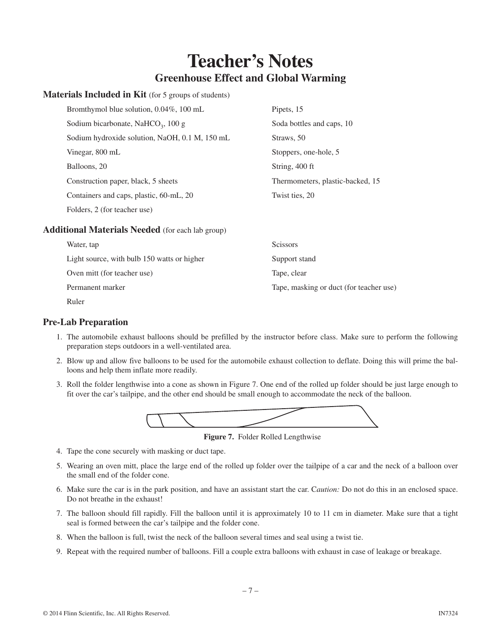# **Teacher's Notes Greenhouse Effect and Global Warming**

#### **Materials Included in Kit** (for 5 groups of students)

| Bromthymol blue solution, 0.04%, 100 mL        | Pipets, 15                       |
|------------------------------------------------|----------------------------------|
| Sodium bicarbonate, NaHCO <sub>3</sub> , 100 g | Soda bottles and caps, 10        |
| Sodium hydroxide solution, NaOH, 0.1 M, 150 mL | Straws, 50                       |
| Vinegar, 800 mL                                | Stoppers, one-hole, 5            |
| Balloons, 20                                   | String, 400 ft                   |
| Construction paper, black, 5 sheets            | Thermometers, plastic-backed, 15 |
| Containers and caps, plastic, 60-mL, 20        | Twist ties, 20                   |
| Folders, 2 (for teacher use)                   |                                  |

#### **Additional Materials Needed** (for each lab group)

| Water, tap                                  | <b>Scissors</b>                         |
|---------------------------------------------|-----------------------------------------|
| Light source, with bulb 150 watts or higher | Support stand                           |
| Oven mitt (for teacher use)                 | Tape, clear                             |
| Permanent marker                            | Tape, masking or duct (for teacher use) |
| Ruler                                       |                                         |

#### **Pre-Lab Preparation**

- 1. The automobile exhaust balloons should be prefilled by the instructor before class. Make sure to perform the following preparation steps outdoors in a well-ventilated area.
- 2. Blow up and allow five balloons to be used for the automobile exhaust collection to deflate. Doing this will prime the balloons and help them inflate more readily.
- 3. Roll the folder lengthwise into a cone as shown in Figure 7. One end of the rolled up folder should be just large enough to fit over the car's tailpipe, and the other end should be small enough to accommodate the neck of the balloon.



**Figure 7.** Folder Rolled Lengthwise

- 4. Tape the cone securely with masking or duct tape.
- 5. Wearing an oven mitt, place the large end of the rolled up folder over the tailpipe of a car and the neck of a balloon over the small end of the folder cone.
- 6. Make sure the car is in the park position, and have an assistant start the car. C*aution:* Do not do this in an enclosed space. Do not breathe in the exhaust!
- 7. The balloon should fill rapidly. Fill the balloon until it is approximately 10 to 11 cm in diameter. Make sure that a tight seal is formed between the car's tailpipe and the folder cone.
- 8. When the balloon is full, twist the neck of the balloon several times and seal using a twist tie.
- 9. Repeat with the required number of balloons. Fill a couple extra balloons with exhaust in case of leakage or breakage.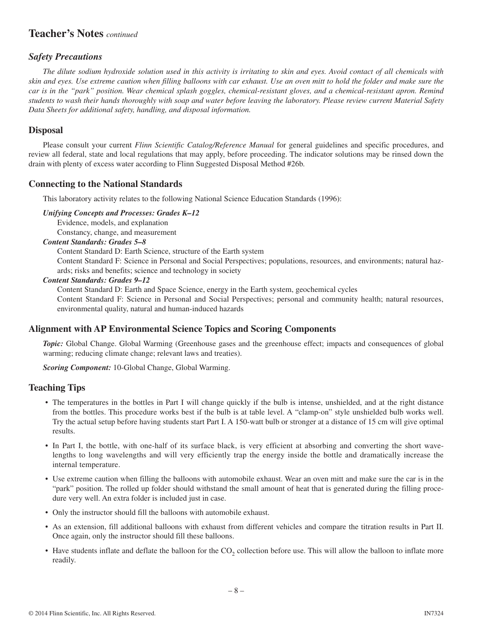# **Teacher's Notes** *continued*

#### *Safety Precautions*

*The dilute sodium hydroxide solution used in this activity is irritating to skin and eyes. Avoid contact of all chemicals with skin and eyes. Use extreme caution when filling balloons with car exhaust. Use an oven mitt to hold the folder and make sure the car is in the "park" position. Wear chemical splash goggles, chemical-resistant gloves, and a chemical-resistant apron. Remind students to wash their hands thoroughly with soap and water before leaving the laboratory. Please review current Material Safety Data Sheets for additional safety, handling, and disposal information.*

#### **Disposal**

Please consult your current *Flinn Scientific Catalog/Reference Manual* for general guidelines and specific procedures, and review all federal, state and local regulations that may apply, before proceeding. The indicator solutions may be rinsed down the drain with plenty of excess water according to Flinn Suggested Disposal Method #26b.

#### **Connecting to the National Standards**

This laboratory activity relates to the following National Science Education Standards (1996):

#### *Unifying Concepts and Processes: Grades K–12*

Evidence, models, and explanation

Constancy, change, and measurement

#### *Content Standards: Grades 5–8*

Content Standard D: Earth Science, structure of the Earth system

Content Standard F: Science in Personal and Social Perspectives; populations, resources, and environments; natural hazards; risks and benefits; science and technology in society

#### *Content Standards: Grades 9–12*

Content Standard D: Earth and Space Science, energy in the Earth system, geochemical cycles Content Standard F: Science in Personal and Social Perspectives; personal and community health; natural resources, environmental quality, natural and human-induced hazards

#### **Alignment with AP Environmental Science Topics and Scoring Components**

*Topic:* Global Change. Global Warming (Greenhouse gases and the greenhouse effect; impacts and consequences of global warming; reducing climate change; relevant laws and treaties).

*Scoring Component:* 10-Global Change, Global Warming.

#### **Teaching Tips**

- The temperatures in the bottles in Part I will change quickly if the bulb is intense, unshielded, and at the right distance from the bottles. This procedure works best if the bulb is at table level. A "clamp-on" style unshielded bulb works well. Try the actual setup before having students start Part I. A 150-watt bulb or stronger at a distance of 15 cm will give optimal results.
- In Part I, the bottle, with one-half of its surface black, is very efficient at absorbing and converting the short wavelengths to long wavelengths and will very efficiently trap the energy inside the bottle and dramatically increase the internal temperature.
- Use extreme caution when filling the balloons with automobile exhaust. Wear an oven mitt and make sure the car is in the "park" position. The rolled up folder should withstand the small amount of heat that is generated during the filling procedure very well. An extra folder is included just in case.
- • Only the instructor should fill the balloons with automobile exhaust.
- • As an extension, fill additional balloons with exhaust from different vehicles and compare the titration results in Part II. Once again, only the instructor should fill these balloons.
- Have students inflate and deflate the balloon for the  $CO_2$  collection before use. This will allow the balloon to inflate more readily.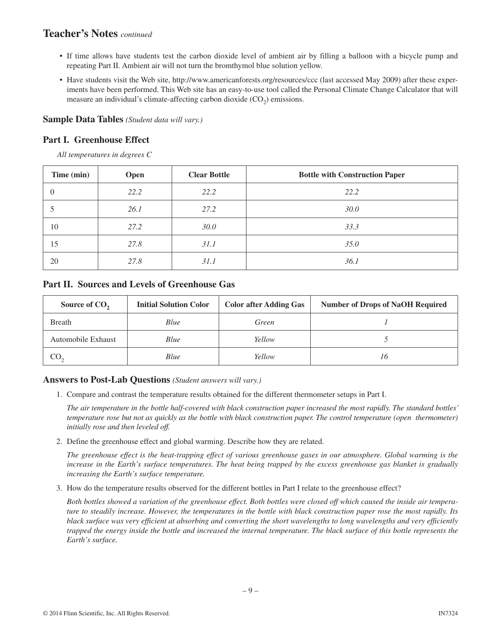## **Teacher's Notes** *continued*

- • If time allows have students test the carbon dioxide level of ambient air by filling a balloon with a bicycle pump and repeating Part II. Ambient air will not turn the bromthymol blue solution yellow.
- Have students visit the Web site, http://www.americanforests.org/resources/ccc (last accessed May 2009) after these experiments have been performed. This Web site has an easy-to-use tool called the Personal Climate Change Calculator that will measure an individual's climate-affecting carbon dioxide  $(CO<sub>2</sub>)$  emissions.

#### **Sample Data Tables** *(Student data will vary.)*

#### **Part I. Greenhouse Effect**

*All temperatures in degrees C*

| Time (min) | Open | <b>Clear Bottle</b> | <b>Bottle with Construction Paper</b> |
|------------|------|---------------------|---------------------------------------|
|            | 22.2 | 22.2                | 22.2                                  |
|            | 26.1 | 27.2                | <i>30.0</i>                           |
| 10         | 27.2 | 30.0                | 33.3                                  |
| 15         | 27.8 | 31.1                | 35.0                                  |
| 20         | 27.8 | 31.1                | 36.1                                  |

#### **Part II. Sources and Levels of Greenhouse Gas**

| Source of CO <sub>2</sub> | <b>Initial Solution Color</b> | <b>Color after Adding Gas</b> | <b>Number of Drops of NaOH Required</b> |
|---------------------------|-------------------------------|-------------------------------|-----------------------------------------|
| Breath                    | Blue                          | Green                         |                                         |
| Automobile Exhaust        | Blue                          | Yellow                        |                                         |
| CO.                       | Blue                          | Yellow                        | 16                                      |

#### **Answers to Post-Lab Questions** *(Student answers will vary.)*

1. Compare and contrast the temperature results obtained for the different thermometer setups in Part I.

*The air temperature in the bottle half-covered with black construction paper increased the most rapidly. The standard bottles' temperature rose but not as quickly as the bottle with black construction paper. The control temperature (open thermometer) initially rose and then leveled off.*

2. Define the greenhouse effect and global warming. Describe how they are related.

*The greenhouse effect is the heat-trapping effect of various greenhouse gases in our atmosphere. Global warming is the increase in the Earth's surface temperatures. The heat being trapped by the excess greenhouse gas blanket is gradually increasing the Earth's surface temperature.*

3. How do the temperature results observed for the different bottles in Part I relate to the greenhouse effect?

*Both bottles showed a variation of the greenhouse effect. Both bottles were closed off which caused the inside air temperature to steadily increase. However, the temperatures in the bottle with black construction paper rose the most rapidly. Its black surface was very efficient at absorbing and converting the short wavelengths to long wavelengths and very efficiently trapped the energy inside the bottle and increased the internal temperature. The black surface of this bottle represents the Earth's surface.*